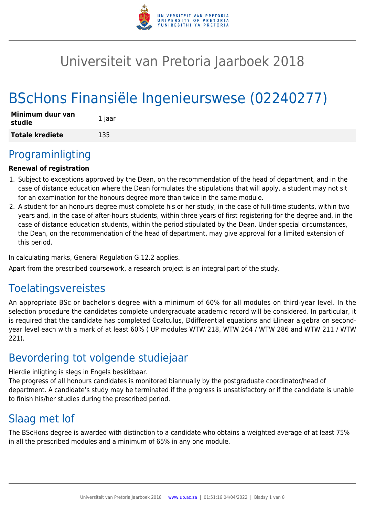

# Universiteit van Pretoria Jaarboek 2018

# BScHons Finansiële Ingenieurswese (02240277)

| Minimum duur van<br>studie | 1 jaar |
|----------------------------|--------|
| <b>Totale krediete</b>     | 135    |

# Programinligting

## **Renewal of registration**

- 1. Subject to exceptions approved by the Dean, on the recommendation of the head of department, and in the case of distance education where the Dean formulates the stipulations that will apply, a student may not sit for an examination for the honours degree more than twice in the same module.
- 2. A student for an honours degree must complete his or her study, in the case of full-time students, within two years and, in the case of after-hours students, within three years of first registering for the degree and, in the case of distance education students, within the period stipulated by the Dean. Under special circumstances, the Dean, on the recommendation of the head of department, may give approval for a limited extension of this period.

In calculating marks, General Regulation G.12.2 applies.

Apart from the prescribed coursework, a research project is an integral part of the study.

# Toelatingsvereistes

An appropriate BSc or bachelor's degree with a minimum of 60% for all modules on third-year level. In the selection procedure the candidates complete undergraduate academic record will be considered. In particular, it is required that the candidate has completed Ccalculus, Ddifferential equations and Llinear algebra on secondyear level each with a mark of at least 60% ( UP modules WTW 218, WTW 264 / WTW 286 and WTW 211 / WTW 221).

# Bevordering tot volgende studiejaar

Hierdie inligting is slegs in Engels beskikbaar.

The progress of all honours candidates is monitored biannually by the postgraduate coordinator/head of department. A candidate's study may be terminated if the progress is unsatisfactory or if the candidate is unable to finish his/her studies during the prescribed period.

# Slaag met lof

The BScHons degree is awarded with distinction to a candidate who obtains a weighted average of at least 75% in all the prescribed modules and a minimum of 65% in any one module.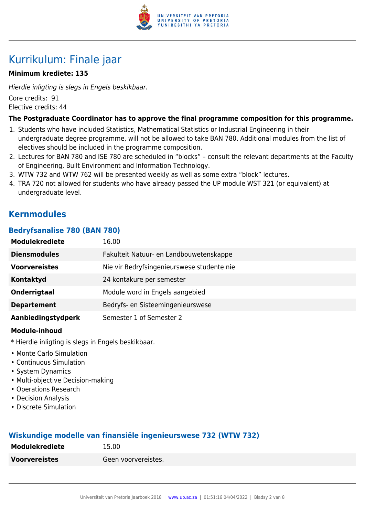

# Kurrikulum: Finale jaar

### **Minimum krediete: 135**

Hierdie inligting is slegs in Engels beskikbaar. Core credits: 91 Elective credits: 44

#### **The Postgraduate Coordinator has to approve the final programme composition for this programme.**

- 1. Students who have included Statistics, Mathematical Statistics or Industrial Engineering in their undergraduate degree programme, will not be allowed to take BAN 780. Additional modules from the list of electives should be included in the programme composition.
- 2. Lectures for BAN 780 and ISE 780 are scheduled in "blocks" consult the relevant departments at the Faculty of Engineering, Built Environment and Information Technology.
- 3. WTW 732 and WTW 762 will be presented weekly as well as some extra "block" lectures.
- 4. TRA 720 not allowed for students who have already passed the UP module WST 321 (or equivalent) at undergraduate level.

# **Kernmodules**

#### **Bedryfsanalise 780 (BAN 780)**

| <b>Modulekrediete</b> | 16.00                                      |
|-----------------------|--------------------------------------------|
| <b>Diensmodules</b>   | Fakulteit Natuur- en Landbouwetenskappe    |
| <b>Voorvereistes</b>  | Nie vir Bedryfsingenieurswese studente nie |
| Kontaktyd             | 24 kontakure per semester                  |
| <b>Onderrigtaal</b>   | Module word in Engels aangebied            |
| <b>Departement</b>    | Bedryfs- en Sisteemingenieurswese          |
| Aanbiedingstydperk    | Semester 1 of Semester 2                   |

#### **Module-inhoud**

- \* Hierdie inligting is slegs in Engels beskikbaar.
- Monte Carlo Simulation
- Continuous Simulation
- System Dynamics
- Multi-objective Decision-making
- Operations Research
- Decision Analysis
- Discrete Simulation

### **Wiskundige modelle van finansiële ingenieurswese 732 (WTW 732)**

| <b>Modulekrediete</b> | 15.00               |
|-----------------------|---------------------|
| <b>Voorvereistes</b>  | Geen voorvereistes. |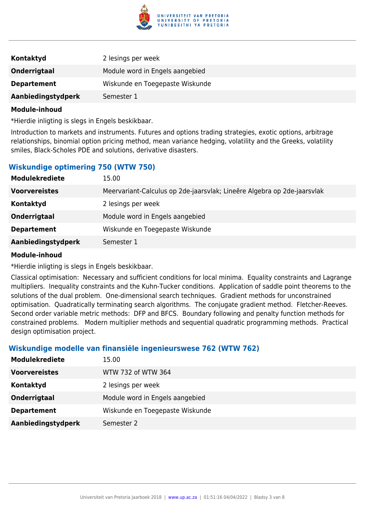

| Kontaktyd           | 2 lesings per week              |
|---------------------|---------------------------------|
| <b>Onderrigtaal</b> | Module word in Engels aangebied |
| <b>Departement</b>  | Wiskunde en Toegepaste Wiskunde |
| Aanbiedingstydperk  | Semester 1                      |

\*Hierdie inligting is slegs in Engels beskikbaar.

Introduction to markets and instruments. Futures and options trading strategies, exotic options, arbitrage relationships, binomial option pricing method, mean variance hedging, volatility and the Greeks, volatility smiles, Black-Scholes PDE and solutions, derivative disasters.

### **Wiskundige optimering 750 (WTW 750)**

| <b>Modulekrediete</b> | 15.00                                                                   |
|-----------------------|-------------------------------------------------------------------------|
| <b>Voorvereistes</b>  | Meervariant-Calculus op 2de-jaarsvlak; Lineêre Algebra op 2de-jaarsvlak |
| <b>Kontaktyd</b>      | 2 lesings per week                                                      |
| <b>Onderrigtaal</b>   | Module word in Engels aangebied                                         |
| <b>Departement</b>    | Wiskunde en Toegepaste Wiskunde                                         |
| Aanbiedingstydperk    | Semester 1                                                              |

#### **Module-inhoud**

\*Hierdie inligting is slegs in Engels beskikbaar.

Classical optimisation: Necessary and sufficient conditions for local minima. Equality constraints and Lagrange multipliers. Inequality constraints and the Kuhn-Tucker conditions. Application of saddle point theorems to the solutions of the dual problem. One-dimensional search techniques. Gradient methods for unconstrained optimisation. Quadratically terminating search algorithms. The conjugate gradient method. Fletcher-Reeves. Second order variable metric methods: DFP and BFCS. Boundary following and penalty function methods for constrained problems. Modern multiplier methods and sequential quadratic programming methods. Practical design optimisation project.

#### **Wiskundige modelle van finansiële ingenieurswese 762 (WTW 762)**

| <b>Modulekrediete</b> | 15.00                           |
|-----------------------|---------------------------------|
| <b>Voorvereistes</b>  | WTW 732 of WTW 364              |
| Kontaktyd             | 2 lesings per week              |
| Onderrigtaal          | Module word in Engels aangebied |
| <b>Departement</b>    | Wiskunde en Toegepaste Wiskunde |
| Aanbiedingstydperk    | Semester 2                      |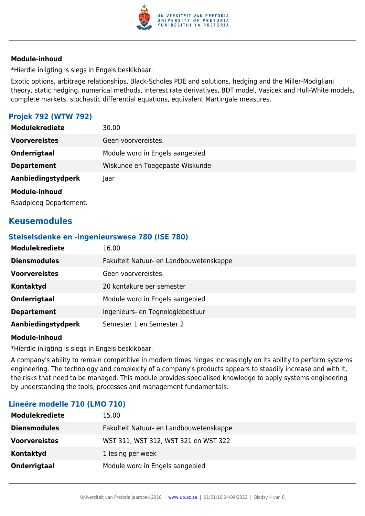

\*Hierdie inligting is slegs in Engels beskikbaar.

Exotic options, arbitrage relationships, Black-Scholes PDE and solutions, hedging and the Miller-Modigliani theory, static hedging, numerical methods, interest rate derivatives, BDT model, Vasicek and Hull-White models, complete markets, stochastic differential equations, equivalent Martingale measures.

### **Projek 792 (WTW 792)**

| 30.00                           |
|---------------------------------|
| Geen voorvereistes.             |
| Module word in Engels aangebied |
| Wiskunde en Toegepaste Wiskunde |
| Taar                            |
|                                 |
|                                 |

Raadpleeg Departement.

# **Keusemodules**

#### **Stelselsdenke en -ingenieurswese 780 (ISE 780)**

| <b>Modulekrediete</b> | 16.00                                   |
|-----------------------|-----------------------------------------|
| <b>Diensmodules</b>   | Fakulteit Natuur- en Landbouwetenskappe |
| <b>Voorvereistes</b>  | Geen voorvereistes.                     |
| <b>Kontaktyd</b>      | 20 kontakure per semester               |
| Onderrigtaal          | Module word in Engels aangebied         |
| <b>Departement</b>    | Ingenieurs- en Tegnologiebestuur        |
| Aanbiedingstydperk    | Semester 1 en Semester 2                |

#### **Module-inhoud**

\*Hierdie inligting is slegs in Engels beskikbaar.

A company's ability to remain competitive in modern times hinges increasingly on its ability to perform systems engineering. The technology and complexity of a company's products appears to steadily increase and with it, the risks that need to be managed. This module provides specialised knowledge to apply systems engineering by understanding the tools, processes and management fundamentals.

#### **Lineêre modelle 710 (LMO 710)**

| <b>Modulekrediete</b> | 15.00                                   |
|-----------------------|-----------------------------------------|
| <b>Diensmodules</b>   | Fakulteit Natuur- en Landbouwetenskappe |
| <b>Voorvereistes</b>  | WST 311, WST 312, WST 321 en WST 322    |
| Kontaktyd             | 1 lesing per week                       |
| Onderrigtaal          | Module word in Engels aangebied         |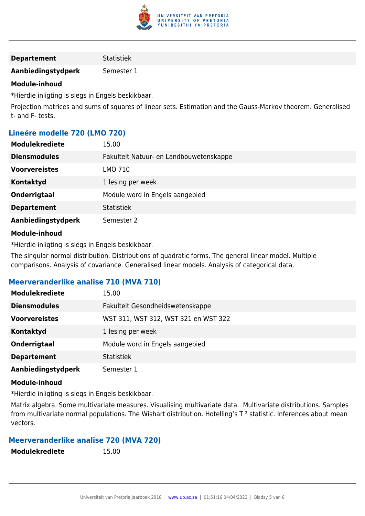

**Aanbiedingstydperk** Semester 1

#### **Module-inhoud**

\*Hierdie inligting is slegs in Engels beskikbaar.

Projection matrices and sums of squares of linear sets. Estimation and the Gauss-Markov theorem. Generalised t- and F- tests.

### **Lineêre modelle 720 (LMO 720)**

| <b>Modulekrediete</b> | 15.00                                   |
|-----------------------|-----------------------------------------|
| <b>Diensmodules</b>   | Fakulteit Natuur- en Landbouwetenskappe |
| <b>Voorvereistes</b>  | LMO 710                                 |
| Kontaktyd             | 1 lesing per week                       |
| Onderrigtaal          | Module word in Engels aangebied         |
| <b>Departement</b>    | <b>Statistiek</b>                       |
| Aanbiedingstydperk    | Semester 2                              |
| <b>Madula tukand</b>  |                                         |

#### **Module-inhoud**

\*Hierdie inligting is slegs in Engels beskikbaar.

The singular normal distribution. Distributions of quadratic forms. The general linear model. Multiple comparisons. Analysis of covariance. Generalised linear models. Analysis of categorical data.

#### **Meerveranderlike analise 710 (MVA 710)**

| <b>Modulekrediete</b> | 15.00                                |
|-----------------------|--------------------------------------|
| <b>Diensmodules</b>   | Fakulteit Gesondheidswetenskappe     |
| <b>Voorvereistes</b>  | WST 311, WST 312, WST 321 en WST 322 |
| <b>Kontaktyd</b>      | 1 lesing per week                    |
| Onderrigtaal          | Module word in Engels aangebied      |
| <b>Departement</b>    | <b>Statistiek</b>                    |
| Aanbiedingstydperk    | Semester 1                           |

#### **Module-inhoud**

\*Hierdie inligting is slegs in Engels beskikbaar.

Matrix algebra. Some multivariate measures. Visualising multivariate data. Multivariate distributions. Samples from multivariate normal populations. The Wishart distribution. Hotelling's  $T^2$  statistic. Inferences about mean vectors.

# **Meerveranderlike analise 720 (MVA 720)**

| <b>Modulekrediete</b> | 15.00 |
|-----------------------|-------|
|                       |       |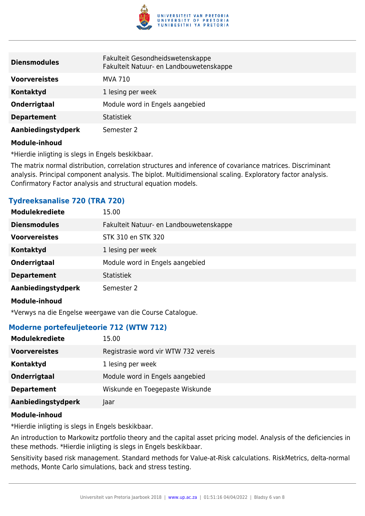

| <b>Diensmodules</b>  | Fakulteit Gesondheidswetenskappe<br>Fakulteit Natuur- en Landbouwetenskappe |
|----------------------|-----------------------------------------------------------------------------|
| <b>Voorvereistes</b> | MVA 710                                                                     |
| <b>Kontaktyd</b>     | 1 lesing per week                                                           |
| <b>Onderrigtaal</b>  | Module word in Engels aangebied                                             |
| <b>Departement</b>   | <b>Statistiek</b>                                                           |
| Aanbiedingstydperk   | Semester 2                                                                  |
| .                    |                                                                             |

\*Hierdie inligting is slegs in Engels beskikbaar.

The matrix normal distribution, correlation structures and inference of covariance matrices. Discriminant analysis. Principal component analysis. The biplot. Multidimensional scaling. Exploratory factor analysis. Confirmatory Factor analysis and structural equation models.

| <b>Tydreeksanalise 720 (TRA 720)</b> |  |
|--------------------------------------|--|
|                                      |  |

| <b>Modulekrediete</b> | 15.00                                   |
|-----------------------|-----------------------------------------|
| <b>Diensmodules</b>   | Fakulteit Natuur- en Landbouwetenskappe |
| <b>Voorvereistes</b>  | STK 310 en STK 320                      |
| Kontaktyd             | 1 lesing per week                       |
| Onderrigtaal          | Module word in Engels aangebied         |
| <b>Departement</b>    | <b>Statistiek</b>                       |
| Aanbiedingstydperk    | Semester 2                              |
|                       |                                         |

#### **Module-inhoud**

\*Verwys na die Engelse weergawe van die Course Catalogue.

#### **Moderne portefeuljeteorie 712 (WTW 712)**

| <b>Modulekrediete</b> | 15.00                               |
|-----------------------|-------------------------------------|
| <b>Voorvereistes</b>  | Registrasie word vir WTW 732 vereis |
| Kontaktyd             | 1 lesing per week                   |
| Onderrigtaal          | Module word in Engels aangebied     |
| <b>Departement</b>    | Wiskunde en Toegepaste Wiskunde     |
| Aanbiedingstydperk    | Jaar                                |

#### **Module-inhoud**

\*Hierdie inligting is slegs in Engels beskikbaar.

An introduction to Markowitz portfolio theory and the capital asset pricing model. Analysis of the deficiencies in these methods. \*Hierdie inligting is slegs in Engels beskikbaar.

Sensitivity based risk management. Standard methods for Value-at-Risk calculations. RiskMetrics, delta-normal methods, Monte Carlo simulations, back and stress testing.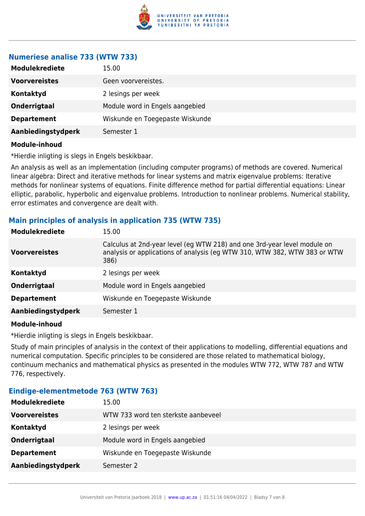

#### **Numeriese analise 733 (WTW 733)**

| <b>Voorvereistes</b><br>Geen voorvereistes.<br>Kontaktyd<br>2 lesings per week<br>Onderrigtaal<br>Module word in Engels aangebied<br>Wiskunde en Toegepaste Wiskunde<br><b>Departement</b><br>Aanbiedingstydperk<br>Semester 1 | <b>Modulekrediete</b> | 15.00 |
|--------------------------------------------------------------------------------------------------------------------------------------------------------------------------------------------------------------------------------|-----------------------|-------|
|                                                                                                                                                                                                                                |                       |       |
|                                                                                                                                                                                                                                |                       |       |
|                                                                                                                                                                                                                                |                       |       |
|                                                                                                                                                                                                                                |                       |       |
|                                                                                                                                                                                                                                |                       |       |

#### **Module-inhoud**

\*Hierdie inligting is slegs in Engels beskikbaar.

An analysis as well as an implementation (including computer programs) of methods are covered. Numerical linear algebra: Direct and iterative methods for linear systems and matrix eigenvalue problems: Iterative methods for nonlinear systems of equations. Finite difference method for partial differential equations: Linear elliptic, parabolic, hyperbolic and eigenvalue problems. Introduction to nonlinear problems. Numerical stability, error estimates and convergence are dealt with.

## **Main principles of analysis in application 735 (WTW 735)**

| <b>Modulekrediete</b> | 15.00                                                                                                                                                         |
|-----------------------|---------------------------------------------------------------------------------------------------------------------------------------------------------------|
| <b>Voorvereistes</b>  | Calculus at 2nd-year level (eg WTW 218) and one 3rd-year level module on<br>analysis or applications of analysis (eq WTW 310, WTW 382, WTW 383 or WTW<br>386) |
| Kontaktyd             | 2 lesings per week                                                                                                                                            |
| <b>Onderrigtaal</b>   | Module word in Engels aangebied                                                                                                                               |
| <b>Departement</b>    | Wiskunde en Toegepaste Wiskunde                                                                                                                               |
| Aanbiedingstydperk    | Semester 1                                                                                                                                                    |
|                       |                                                                                                                                                               |

#### **Module-inhoud**

\*Hierdie inligting is slegs in Engels beskikbaar.

Study of main principles of analysis in the context of their applications to modelling, differential equations and numerical computation. Specific principles to be considered are those related to mathematical biology, continuum mechanics and mathematical physics as presented in the modules WTW 772, WTW 787 and WTW 776, respectively.

#### **Eindige-elementmetode 763 (WTW 763)**

| <b>Modulekrediete</b> | 15.00                               |
|-----------------------|-------------------------------------|
| <b>Voorvereistes</b>  | WTW 733 word ten sterkste aanbeveel |
| Kontaktyd             | 2 lesings per week                  |
| <b>Onderrigtaal</b>   | Module word in Engels aangebied     |
| <b>Departement</b>    | Wiskunde en Toegepaste Wiskunde     |
| Aanbiedingstydperk    | Semester 2                          |